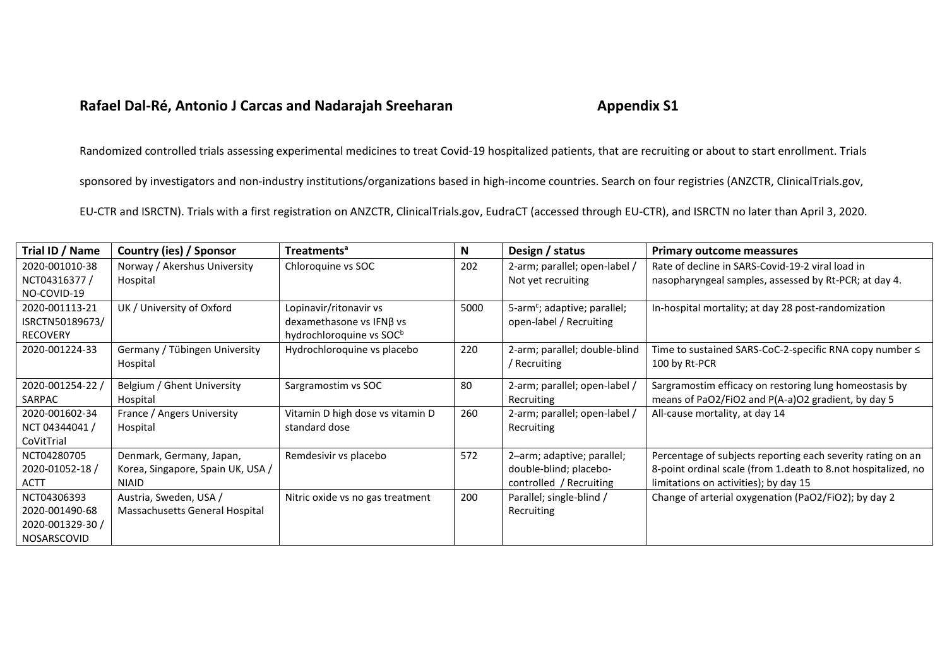## **Rafael Dal-Ré, Antonio J Carcas and Nadarajah Sreeharan <b>Appendix S1**

Randomized controlled trials assessing experimental medicines to treat Covid-19 hospitalized patients, that are recruiting or about to start enrollment. Trials

sponsored by investigators and non-industry institutions/organizations based in high-income countries. Search on four registries (ANZCTR, ClinicalTrials.gov,

EU-CTR and ISRCTN). Trials with a first registration on ANZCTR, ClinicalTrials.gov, EudraCT (accessed through EU-CTR), and ISRCTN no later than April 3, 2020.

| Trial ID / Name  | Country (ies) / Sponsor           | <b>Treatments<sup>a</sup></b>        | N    | Design / status                          | <b>Primary outcome meassures</b>                              |
|------------------|-----------------------------------|--------------------------------------|------|------------------------------------------|---------------------------------------------------------------|
| 2020-001010-38   | Norway / Akershus University      | Chloroquine vs SOC                   | 202  | 2-arm; parallel; open-label /            | Rate of decline in SARS-Covid-19-2 viral load in              |
| NCT04316377/     | Hospital                          |                                      |      | Not yet recruiting                       | nasopharyngeal samples, assessed by Rt-PCR; at day 4.         |
| NO-COVID-19      |                                   |                                      |      |                                          |                                                               |
| 2020-001113-21   | UK / University of Oxford         | Lopinavir/ritonavir vs               | 5000 | 5-arm <sup>c</sup> ; adaptive; parallel; | In-hospital mortality; at day 28 post-randomization           |
| ISRCTN50189673/  |                                   | dexamethasone vs $IFN\beta$ vs       |      | open-label / Recruiting                  |                                                               |
| <b>RECOVERY</b>  |                                   | hydrochloroquine vs SOC <sup>b</sup> |      |                                          |                                                               |
| 2020-001224-33   | Germany / Tübingen University     | Hydrochloroquine vs placebo          | 220  | 2-arm; parallel; double-blind            | Time to sustained SARS-CoC-2-specific RNA copy number ≤       |
|                  | Hospital                          |                                      |      | / Recruiting                             | 100 by Rt-PCR                                                 |
| 2020-001254-22 / | Belgium / Ghent University        | Sargramostim vs SOC                  | 80   | 2-arm; parallel; open-label /            | Sargramostim efficacy on restoring lung homeostasis by        |
| SARPAC           | Hospital                          |                                      |      | Recruiting                               | means of PaO2/FiO2 and P(A-a)O2 gradient, by day 5            |
| 2020-001602-34   | France / Angers University        | Vitamin D high dose vs vitamin D     | 260  | 2-arm; parallel; open-label /            | All-cause mortality, at day 14                                |
| NCT 04344041 /   | Hospital                          | standard dose                        |      | Recruiting                               |                                                               |
| CoVitTrial       |                                   |                                      |      |                                          |                                                               |
| NCT04280705      | Denmark, Germany, Japan,          | Remdesivir vs placebo                | 572  | 2-arm; adaptive; parallel;               | Percentage of subjects reporting each severity rating on an   |
| 2020-01052-18 /  | Korea, Singapore, Spain UK, USA / |                                      |      | double-blind; placebo-                   | 8-point ordinal scale (from 1.death to 8.not hospitalized, no |
| <b>ACTT</b>      | <b>NIAID</b>                      |                                      |      | controlled / Recruiting                  | limitations on activities); by day 15                         |
| NCT04306393      | Austria, Sweden, USA /            | Nitric oxide vs no gas treatment     | 200  | Parallel; single-blind /                 | Change of arterial oxygenation (PaO2/FiO2); by day 2          |
| 2020-001490-68   | Massachusetts General Hospital    |                                      |      | Recruiting                               |                                                               |
| 2020-001329-30/  |                                   |                                      |      |                                          |                                                               |
| NOSARSCOVID      |                                   |                                      |      |                                          |                                                               |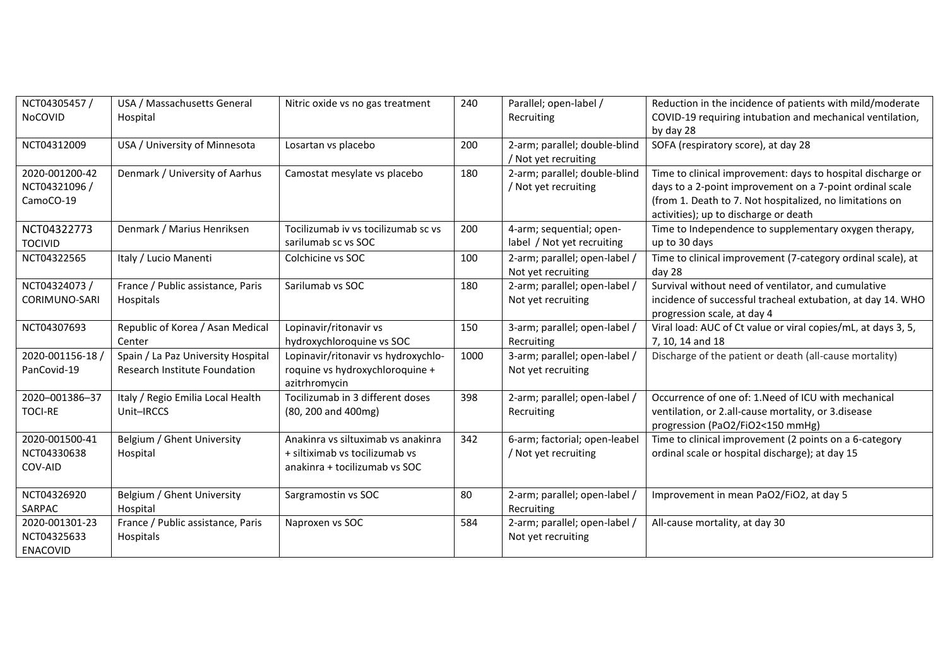| NCT04305457 /<br>NoCOVID                         | USA / Massachusetts General<br>Hospital                             | Nitric oxide vs no gas treatment                                                                      | 240  | Parallel; open-label /<br>Recruiting                   | Reduction in the incidence of patients with mild/moderate<br>COVID-19 requiring intubation and mechanical ventilation,<br>by day 28                                                                                          |
|--------------------------------------------------|---------------------------------------------------------------------|-------------------------------------------------------------------------------------------------------|------|--------------------------------------------------------|------------------------------------------------------------------------------------------------------------------------------------------------------------------------------------------------------------------------------|
| NCT04312009                                      | USA / University of Minnesota                                       | Losartan vs placebo                                                                                   | 200  | 2-arm; parallel; double-blind<br>/ Not yet recruiting  | SOFA (respiratory score), at day 28                                                                                                                                                                                          |
| 2020-001200-42<br>NCT04321096 /<br>CamoCO-19     | Denmark / University of Aarhus                                      | Camostat mesylate vs placebo                                                                          | 180  | 2-arm; parallel; double-blind<br>/ Not yet recruiting  | Time to clinical improvement: days to hospital discharge or<br>days to a 2-point improvement on a 7-point ordinal scale<br>(from 1. Death to 7. Not hospitalized, no limitations on<br>activities); up to discharge or death |
| NCT04322773<br><b>TOCIVID</b>                    | Denmark / Marius Henriksen                                          | Tocilizumab iv vs tocilizumab sc vs<br>sarilumab sc vs SOC                                            | 200  | 4-arm; sequential; open-<br>label / Not yet recruiting | Time to Independence to supplementary oxygen therapy,<br>up to 30 days                                                                                                                                                       |
| NCT04322565                                      | Italy / Lucio Manenti                                               | Colchicine vs SOC                                                                                     | 100  | 2-arm; parallel; open-label /<br>Not yet recruiting    | Time to clinical improvement (7-category ordinal scale), at<br>day 28                                                                                                                                                        |
| NCT04324073 /<br>CORIMUNO-SARI                   | France / Public assistance, Paris<br>Hospitals                      | Sarilumab vs SOC                                                                                      | 180  | 2-arm; parallel; open-label /<br>Not yet recruiting    | Survival without need of ventilator, and cumulative<br>incidence of successful tracheal extubation, at day 14. WHO<br>progression scale, at day 4                                                                            |
| NCT04307693                                      | Republic of Korea / Asan Medical<br>Center                          | Lopinavir/ritonavir vs<br>hydroxychloroquine vs SOC                                                   | 150  | 3-arm; parallel; open-label /<br>Recruiting            | Viral load: AUC of Ct value or viral copies/mL, at days 3, 5,<br>7, 10, 14 and 18                                                                                                                                            |
| 2020-001156-18 /<br>PanCovid-19                  | Spain / La Paz University Hospital<br>Research Institute Foundation | Lopinavir/ritonavir vs hydroxychlo-<br>roquine vs hydroxychloroquine +<br>azitrhromycin               | 1000 | 3-arm; parallel; open-label /<br>Not yet recruiting    | Discharge of the patient or death (all-cause mortality)                                                                                                                                                                      |
| 2020-001386-37<br><b>TOCI-RE</b>                 | Italy / Regio Emilia Local Health<br>Unit-IRCCS                     | Tocilizumab in 3 different doses<br>(80, 200 and 400mg)                                               | 398  | 2-arm; parallel; open-label /<br>Recruiting            | Occurrence of one of: 1. Need of ICU with mechanical<br>ventilation, or 2.all-cause mortality, or 3.disease<br>progression (PaO2/FiO2<150 mmHg)                                                                              |
| 2020-001500-41<br>NCT04330638<br>COV-AID         | Belgium / Ghent University<br>Hospital                              | Anakinra vs siltuximab vs anakinra<br>+ siltiximab vs tocilizumab vs<br>anakinra + tocilizumab vs SOC | 342  | 6-arm; factorial; open-leabel<br>/ Not yet recruiting  | Time to clinical improvement (2 points on a 6-category<br>ordinal scale or hospital discharge); at day 15                                                                                                                    |
| NCT04326920<br>SARPAC                            | Belgium / Ghent University<br>Hospital                              | Sargramostin vs SOC                                                                                   | 80   | 2-arm; parallel; open-label /<br>Recruiting            | Improvement in mean PaO2/FiO2, at day 5                                                                                                                                                                                      |
| 2020-001301-23<br>NCT04325633<br><b>ENACOVID</b> | France / Public assistance, Paris<br>Hospitals                      | Naproxen vs SOC                                                                                       | 584  | 2-arm; parallel; open-label /<br>Not yet recruiting    | All-cause mortality, at day 30                                                                                                                                                                                               |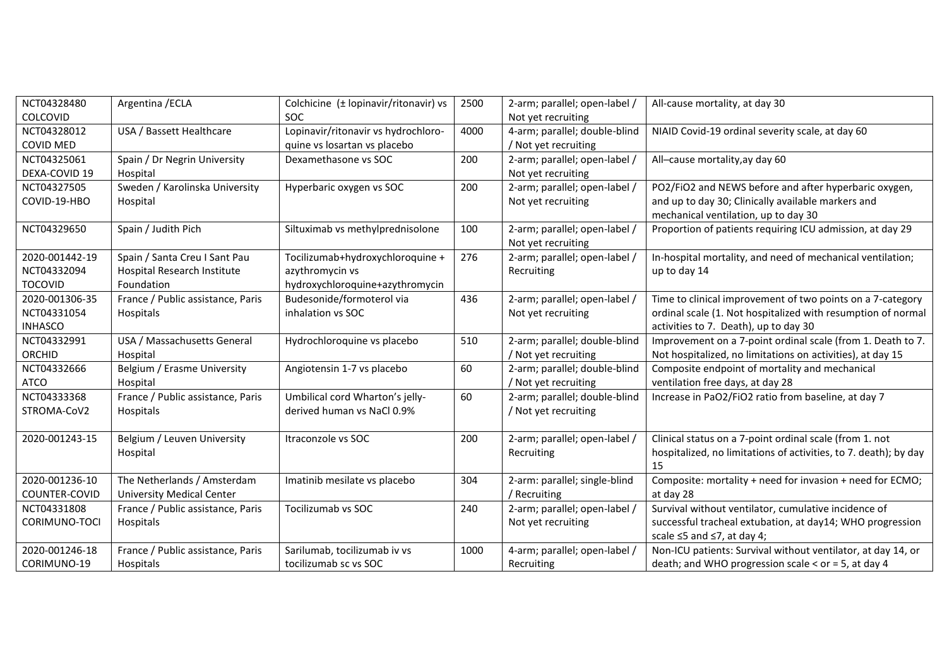| NCT04328480    | Argentina / ECLA                  | Colchicine (± lopinavir/ritonavir) vs | 2500 | 2-arm; parallel; open-label / | All-cause mortality, at day 30                                   |
|----------------|-----------------------------------|---------------------------------------|------|-------------------------------|------------------------------------------------------------------|
| COLCOVID       |                                   | <b>SOC</b>                            |      | Not yet recruiting            |                                                                  |
| NCT04328012    | USA / Bassett Healthcare          | Lopinavir/ritonavir vs hydrochloro-   | 4000 | 4-arm; parallel; double-blind | NIAID Covid-19 ordinal severity scale, at day 60                 |
| COVID MED      |                                   | quine vs losartan vs placebo          |      | / Not yet recruiting          |                                                                  |
| NCT04325061    | Spain / Dr Negrin University      | Dexamethasone vs SOC                  | 200  | 2-arm; parallel; open-label / | All-cause mortality, ay day 60                                   |
| DEXA-COVID 19  | Hospital                          |                                       |      | Not yet recruiting            |                                                                  |
| NCT04327505    | Sweden / Karolinska University    | Hyperbaric oxygen vs SOC              | 200  | 2-arm; parallel; open-label / | PO2/FiO2 and NEWS before and after hyperbaric oxygen,            |
| COVID-19-HBO   | Hospital                          |                                       |      | Not yet recruiting            | and up to day 30; Clinically available markers and               |
|                |                                   |                                       |      |                               | mechanical ventilation, up to day 30                             |
| NCT04329650    | Spain / Judith Pich               | Siltuximab vs methylprednisolone      | 100  | 2-arm; parallel; open-label / | Proportion of patients requiring ICU admission, at day 29        |
|                |                                   |                                       |      | Not yet recruiting            |                                                                  |
| 2020-001442-19 | Spain / Santa Creu I Sant Pau     | Tocilizumab+hydroxychloroquine +      | 276  | 2-arm; parallel; open-label / | In-hospital mortality, and need of mechanical ventilation;       |
| NCT04332094    | Hospital Research Institute       | azythromycin vs                       |      | Recruiting                    | up to day 14                                                     |
| <b>TOCOVID</b> | Foundation                        | hydroxychloroquine+azythromycin       |      |                               |                                                                  |
| 2020-001306-35 | France / Public assistance, Paris | Budesonide/formoterol via             | 436  | 2-arm; parallel; open-label / | Time to clinical improvement of two points on a 7-category       |
| NCT04331054    | Hospitals                         | inhalation vs SOC                     |      | Not yet recruiting            | ordinal scale (1. Not hospitalized with resumption of normal     |
| <b>INHASCO</b> |                                   |                                       |      |                               | activities to 7. Death), up to day 30                            |
| NCT04332991    | USA / Massachusetts General       | Hydrochloroquine vs placebo           | 510  | 2-arm; parallel; double-blind | Improvement on a 7-point ordinal scale (from 1. Death to 7.      |
| <b>ORCHID</b>  | Hospital                          |                                       |      | / Not yet recruiting          | Not hospitalized, no limitations on activities), at day 15       |
| NCT04332666    | Belgium / Erasme University       | Angiotensin 1-7 vs placebo            | 60   | 2-arm; parallel; double-blind | Composite endpoint of mortality and mechanical                   |
| <b>ATCO</b>    | Hospital                          |                                       |      | / Not yet recruiting          | ventilation free days, at day 28                                 |
| NCT04333368    | France / Public assistance, Paris | Umbilical cord Wharton's jelly-       | 60   | 2-arm; parallel; double-blind | Increase in PaO2/FiO2 ratio from baseline, at day 7              |
| STROMA-CoV2    | Hospitals                         | derived human vs NaCl 0.9%            |      | / Not yet recruiting          |                                                                  |
|                |                                   |                                       |      |                               |                                                                  |
| 2020-001243-15 | Belgium / Leuven University       | Itraconzole vs SOC                    | 200  | 2-arm; parallel; open-label / | Clinical status on a 7-point ordinal scale (from 1. not          |
|                | Hospital                          |                                       |      | Recruiting                    | hospitalized, no limitations of activities, to 7. death); by day |
|                |                                   |                                       |      |                               | 15                                                               |
| 2020-001236-10 | The Netherlands / Amsterdam       | Imatinib mesilate vs placebo          | 304  | 2-arm: parallel; single-blind | Composite: mortality + need for invasion + need for ECMO;        |
| COUNTER-COVID  | <b>University Medical Center</b>  |                                       |      | / Recruiting                  | at day 28                                                        |
| NCT04331808    | France / Public assistance, Paris | Tocilizumab vs SOC                    | 240  | 2-arm; parallel; open-label / | Survival without ventilator, cumulative incidence of             |
| CORIMUNO-TOCI  | Hospitals                         |                                       |      | Not yet recruiting            | successful tracheal extubation, at day14; WHO progression        |
|                |                                   |                                       |      |                               | scale ≤5 and ≤7, at day 4;                                       |
| 2020-001246-18 | France / Public assistance, Paris | Sarilumab, tocilizumab iv vs          | 1000 | 4-arm; parallel; open-label / | Non-ICU patients: Survival without ventilator, at day 14, or     |
| CORIMUNO-19    | Hospitals                         | tocilizumab sc vs SOC                 |      | Recruiting                    | death; and WHO progression scale $<$ or = 5, at day 4            |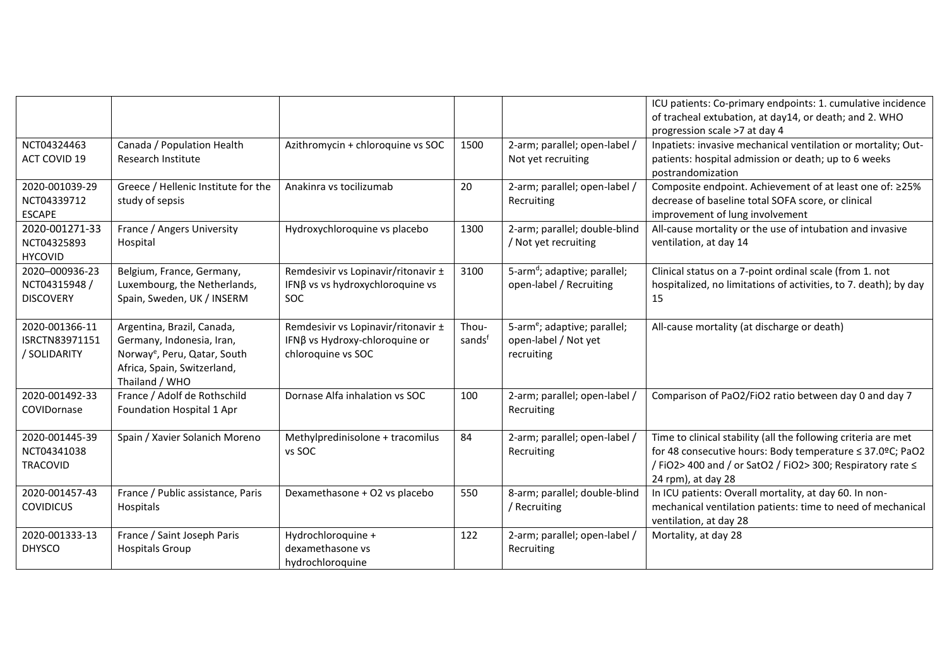|                                                     |                                                                                                                                                      |                                                                                             |                 |                                                                                | ICU patients: Co-primary endpoints: 1. cumulative incidence<br>of tracheal extubation, at day14, or death; and 2. WHO<br>progression scale >7 at day 4                                                          |
|-----------------------------------------------------|------------------------------------------------------------------------------------------------------------------------------------------------------|---------------------------------------------------------------------------------------------|-----------------|--------------------------------------------------------------------------------|-----------------------------------------------------------------------------------------------------------------------------------------------------------------------------------------------------------------|
| NCT04324463<br><b>ACT COVID 19</b>                  | Canada / Population Health<br><b>Research Institute</b>                                                                                              | Azithromycin + chloroquine vs SOC                                                           | 1500            | 2-arm; parallel; open-label /<br>Not yet recruiting                            | Inpatiets: invasive mechanical ventilation or mortality; Out-<br>patients: hospital admission or death; up to 6 weeks<br>postrandomization                                                                      |
| 2020-001039-29<br>NCT04339712<br><b>ESCAPE</b>      | Greece / Hellenic Institute for the<br>study of sepsis                                                                                               | Anakinra vs tocilizumab                                                                     | 20              | 2-arm; parallel; open-label /<br>Recruiting                                    | Composite endpoint. Achievement of at least one of: ≥25%<br>decrease of baseline total SOFA score, or clinical<br>improvement of lung involvement                                                               |
| 2020-001271-33<br>NCT04325893<br><b>HYCOVID</b>     | France / Angers University<br>Hospital                                                                                                               | Hydroxychloroquine vs placebo                                                               | 1300            | 2-arm; parallel; double-blind<br>/ Not yet recruiting                          | All-cause mortality or the use of intubation and invasive<br>ventilation, at day 14                                                                                                                             |
| 2020-000936-23<br>NCT04315948 /<br><b>DISCOVERY</b> | Belgium, France, Germany,<br>Luxembourg, the Netherlands,<br>Spain, Sweden, UK / INSERM                                                              | Remdesivir vs Lopinavir/ritonavir ±<br>IFNB vs vs hydroxychloroquine vs<br><b>SOC</b>       | 3100            | 5-arm <sup>d</sup> ; adaptive; parallel;<br>open-label / Recruiting            | Clinical status on a 7-point ordinal scale (from 1. not<br>hospitalized, no limitations of activities, to 7. death); by day<br>15                                                                               |
| 2020-001366-11<br>ISRCTN83971151<br>/ SOLIDARITY    | Argentina, Brazil, Canada,<br>Germany, Indonesia, Iran,<br>Norway <sup>e</sup> , Peru, Qatar, South<br>Africa, Spain, Switzerland,<br>Thailand / WHO | Remdesivir vs Lopinavir/ritonavir ±<br>IFNβ vs Hydroxy-chloroquine or<br>chloroquine vs SOC | Thou-<br>sandsf | 5-arm <sup>e</sup> ; adaptive; parallel;<br>open-label / Not yet<br>recruiting | All-cause mortality (at discharge or death)                                                                                                                                                                     |
| 2020-001492-33<br>COVIDornase                       | France / Adolf de Rothschild<br>Foundation Hospital 1 Apr                                                                                            | Dornase Alfa inhalation vs SOC                                                              | 100             | 2-arm; parallel; open-label /<br>Recruiting                                    | Comparison of PaO2/FiO2 ratio between day 0 and day 7                                                                                                                                                           |
| 2020-001445-39<br>NCT04341038<br><b>TRACOVID</b>    | Spain / Xavier Solanich Moreno                                                                                                                       | Methylpredinisolone + tracomilus<br>vs SOC                                                  | 84              | 2-arm; parallel; open-label /<br>Recruiting                                    | Time to clinical stability (all the following criteria are met<br>for 48 consecutive hours: Body temperature ≤ 37.0ºC; PaO2<br>/ FiO2> 400 and / or SatO2 / FiO2> 300; Respiratory rate ≤<br>24 rpm), at day 28 |
| 2020-001457-43<br><b>COVIDICUS</b>                  | France / Public assistance, Paris<br>Hospitals                                                                                                       | Dexamethasone + O2 vs placebo                                                               | 550             | 8-arm; parallel; double-blind<br>/ Recruiting                                  | In ICU patients: Overall mortality, at day 60. In non-<br>mechanical ventilation patients: time to need of mechanical<br>ventilation, at day 28                                                                 |
| 2020-001333-13<br><b>DHYSCO</b>                     | France / Saint Joseph Paris<br><b>Hospitals Group</b>                                                                                                | Hydrochloroquine +<br>dexamethasone vs<br>hydrochloroquine                                  | 122             | 2-arm; parallel; open-label /<br>Recruiting                                    | Mortality, at day 28                                                                                                                                                                                            |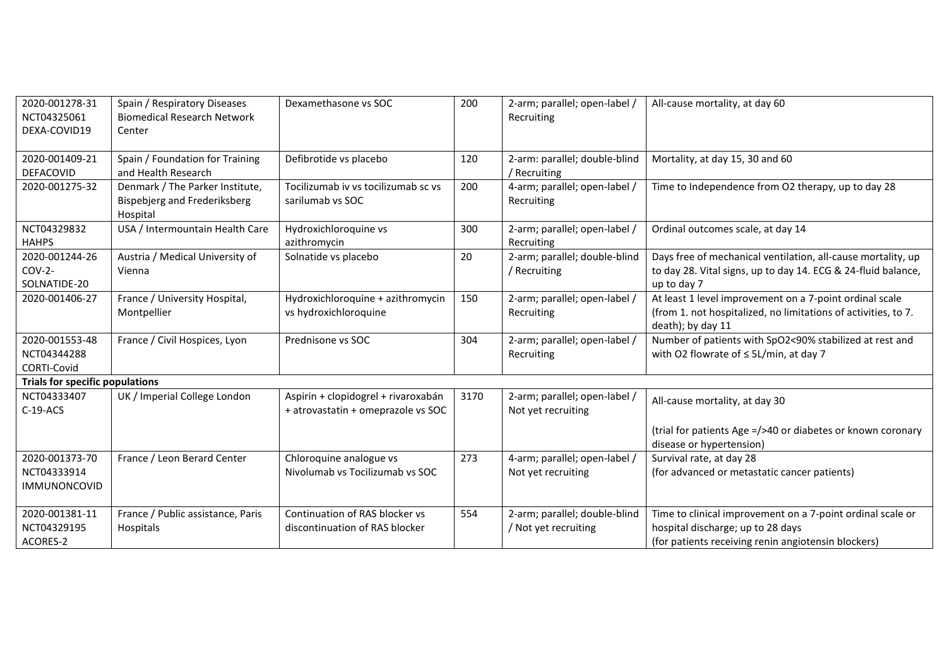| 2020-001278-31<br>NCT04325061<br>DEXA-COVID19        | Spain / Respiratory Diseases<br><b>Biomedical Research Network</b><br>Center | Dexamethasone vs SOC                                                      | 200  | 2-arm; parallel; open-label /<br>Recruiting           | All-cause mortality, at day 60                                                                                                                         |
|------------------------------------------------------|------------------------------------------------------------------------------|---------------------------------------------------------------------------|------|-------------------------------------------------------|--------------------------------------------------------------------------------------------------------------------------------------------------------|
| 2020-001409-21<br>DEFACOVID                          | Spain / Foundation for Training<br>and Health Research                       | Defibrotide vs placebo                                                    | 120  | 2-arm: parallel; double-blind<br>/ Recruiting         | Mortality, at day 15, 30 and 60                                                                                                                        |
| 2020-001275-32                                       | Denmark / The Parker Institute,<br>Bispebjerg and Frederiksberg<br>Hospital  | Tocilizumab iv vs tocilizumab sc vs<br>sarilumab vs SOC                   | 200  | 4-arm; parallel; open-label /<br>Recruiting           | Time to Independence from O2 therapy, up to day 28                                                                                                     |
| NCT04329832<br><b>HAHPS</b>                          | USA / Intermountain Health Care                                              | Hydroxichloroquine vs<br>azithromycin                                     | 300  | 2-arm; parallel; open-label /<br>Recruiting           | Ordinal outcomes scale, at day 14                                                                                                                      |
| 2020-001244-26<br>$COV-2-$<br>SOLNATIDE-20           | Austria / Medical University of<br>Vienna                                    | Solnatide vs placebo                                                      | 20   | 2-arm; parallel; double-blind<br>/ Recruiting         | Days free of mechanical ventilation, all-cause mortality, up<br>to day 28. Vital signs, up to day 14. ECG & 24-fluid balance,<br>up to day 7           |
| 2020-001406-27                                       | France / University Hospital,<br>Montpellier                                 | Hydroxichloroquine + azithromycin<br>vs hydroxichloroquine                | 150  | 2-arm; parallel; open-label /<br>Recruiting           | At least 1 level improvement on a 7-point ordinal scale<br>(from 1. not hospitalized, no limitations of activities, to 7.<br>death); by day 11         |
| 2020-001553-48<br>NCT04344288<br>CORTI-Covid         | France / Civil Hospices, Lyon                                                | Prednisone vs SOC                                                         | 304  | 2-arm; parallel; open-label /<br>Recruiting           | Number of patients with SpO2<90% stabilized at rest and<br>with O2 flowrate of $\leq$ 5L/min, at day 7                                                 |
| <b>Trials for specific populations</b>               |                                                                              |                                                                           |      |                                                       |                                                                                                                                                        |
| NCT04333407<br>$C-19-ACS$                            | UK / Imperial College London                                                 | Aspirin + clopidogrel + rivaroxabán<br>+ atrovastatin + omeprazole vs SOC | 3170 | 2-arm; parallel; open-label /<br>Not yet recruiting   | All-cause mortality, at day 30                                                                                                                         |
|                                                      |                                                                              |                                                                           |      |                                                       | (trial for patients Age =/>40 or diabetes or known coronary<br>disease or hypertension)                                                                |
| 2020-001373-70<br>NCT04333914<br><b>IMMUNONCOVID</b> | France / Leon Berard Center                                                  | Chloroquine analogue vs<br>Nivolumab vs Tocilizumab vs SOC                | 273  | 4-arm; parallel; open-label /<br>Not yet recruiting   | Survival rate, at day 28<br>(for advanced or metastatic cancer patients)                                                                               |
| 2020-001381-11<br>NCT04329195<br>ACORES-2            | France / Public assistance, Paris<br>Hospitals                               | Continuation of RAS blocker vs<br>discontinuation of RAS blocker          | 554  | 2-arm; parallel; double-blind<br>/ Not yet recruiting | Time to clinical improvement on a 7-point ordinal scale or<br>hospital discharge; up to 28 days<br>(for patients receiving renin angiotensin blockers) |